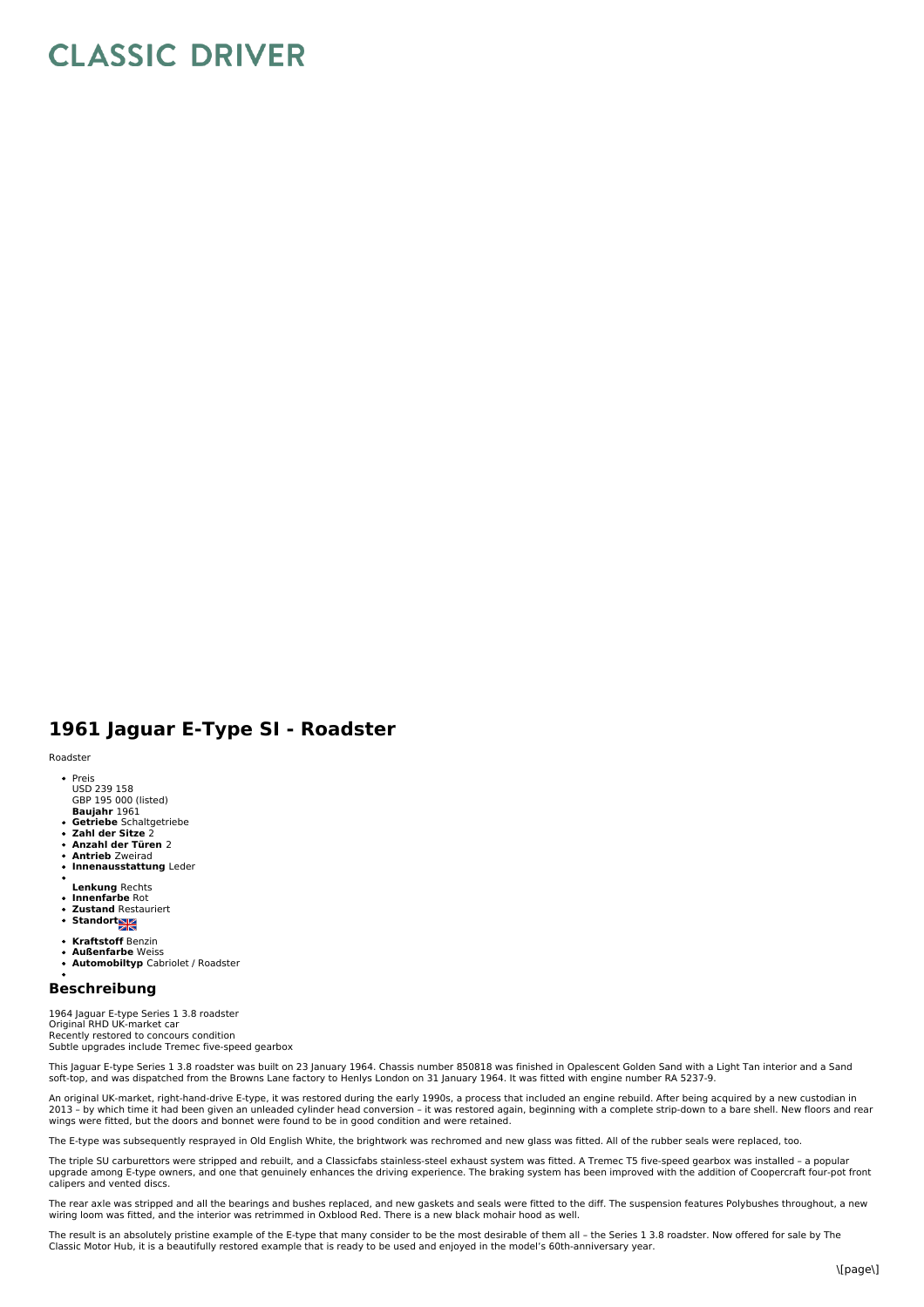## **CLASSIC DRIVER**

## **1961 Jaguar E-Type SI - Roadster**

Roadster

- Preis USD 239 158
- GBP 195 000 (listed)<br>**Baujahr** 1961
- 
- **Getriebe** Schaltgetriebe **Zahl der Sitze** 2
- **Anzahl der Türen** 2 **Antrieb** Zweirad
- **Innenausstattung** Leder
- 
- **Lenkung** Rechts  $\bullet$ **Innenfarbe** Rot
- $\ddot{\phantom{0}}$ **Zustand** Restauriert
- **Standort XX**
- 
- **Kraftstoff** Benzin **Außenfarbe** Weiss
- **Automobiltyp** Cabriolet / Roadster

## **Beschreibung**

1964 Jaguar E-type Series 1 3.8 roadster<br>Original RHD UK-market car Recently restored to concours condition<br>Subtle upgrades include Tremec five-speed gearbox

This Jaguar E-type Series 1 3.8 roadster was built on 23 January 1964. Chassis number 850818 was finished in Opalescent Golden Sand with a Light Tan interior and a Sand<br>soft-top, and was dispatched from the Browns Lane fac

An original UK-market, right-hand-drive E-type, it was restored during the early 1990s, a process that included an engine rebuild. After being acquired by a new custodian in 2013 - by which time it had been given an unleaded cylinder head conversion - it was restored again, beginning with a complete strip-down to a bare shell. New floors and rear<br>wings were fitted, but the doors and bonnet wer

type was subsequently resprayed in Old English White, the brightwork was rechromed and new glass was fitted. All of the rubber seals were replaced, too.

The triple SU carburettors were stripped and rebuilt, and a Classicfabs stainless-steel exhaust system was fitted. A Tremec T5 five-speed gearbox was installed – a popular<br>upgrade among E-type owners, and one that genuinel calipers and vented discs.

The rear axle was stripped and all the bearings and bushes replaced, and new gaskets and seals were fitted to the diff. The suspension features Polybushes throughout, a new wiring loom was fitted, and the interior was retrimmed in Oxblood Red. There is a new black mohair hood as well.

The result is an absolutely pristine example of the E-type that many consider to be the most desirable of them all – the Series 1 3.8 roadster. Now offered for sale by The Classic Motor Hub, it is a beautifully restored example that is ready to be used and enjoyed in the model's 60th-anniversary year.